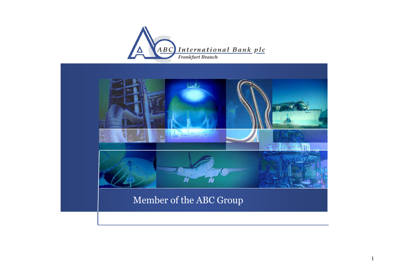



### Member of the ABC Group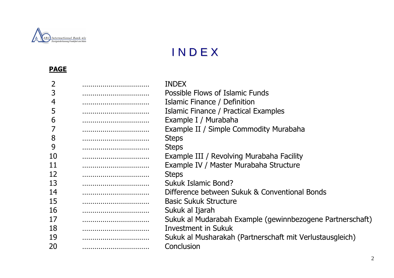

#### IN <sup>D</sup> <sup>E</sup> <sup>X</sup>

#### **PAGE**

|                                     | <b>INDEX</b>                                              |
|-------------------------------------|-----------------------------------------------------------|
|                                     | Possible Flows of Islamic Funds                           |
|                                     | Islamic Finance / Definition                              |
|                                     | Islamic Finance / Practical Examples                      |
| ,,,,,,,,,,,,,,,,,,,,,,,,,,,,,,,,,,  | Example I / Murabaha                                      |
|                                     | Example II / Simple Commodity Murabaha                    |
|                                     | <b>Steps</b>                                              |
|                                     | <b>Steps</b>                                              |
|                                     | Example III / Revolving Murabaha Facility                 |
| ,,,,,,,,,,,,,,,,,,,,,,,,,,,,,,,,,,, | Example IV / Master Murabaha Structure                    |
|                                     | <b>Steps</b>                                              |
|                                     | Sukuk Islamic Bond?                                       |
|                                     | Difference between Sukuk & Conventional Bonds             |
|                                     | <b>Basic Sukuk Structure</b>                              |
|                                     | Sukuk al Ijarah                                           |
|                                     | Sukuk al Mudarabah Example (gewinnbezogene Partnerschaft) |
|                                     | <b>Investment in Sukuk</b>                                |
|                                     | Sukuk al Musharakah (Partnerschaft mit Verlustausgleich)  |
|                                     | Conclusion                                                |
|                                     |                                                           |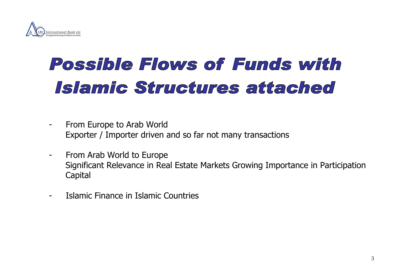

# Possible Flows of Funds with Islamic Structures attached

- 
- From Europe to Arab World<br>
Exporter / Importer driven and so far not many transactions<br>
From Arab World to Europe<br>
Significant Relevance in Real Estate Markets Growing Importance in Participation<br>
Capital<br>
Islamic Finance
-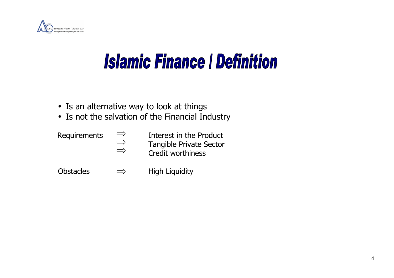

# **Islamic Finance | Definition**

- Is an alternative way to look at things
- Is not the salvation of the Financial Industry

Obstacles  $\implies$  High Liquidity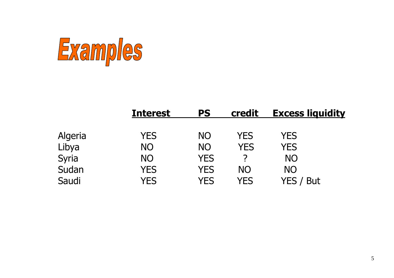

|         | <b>Interest</b> | PS         | credit    | <b>Excess liquidity</b> |  |
|---------|-----------------|------------|-----------|-------------------------|--|
| Algeria | <b>YES</b>      | <b>NO</b>  | YES       | <b>YES</b>              |  |
| Libya   | <b>NO</b>       | <b>NO</b>  | YES       | <b>YES</b>              |  |
| Syria   | <b>NO</b>       | <b>YES</b> |           | <b>NO</b>               |  |
| Sudan   | <b>YES</b>      | <b>YES</b> | <b>NO</b> | <b>NO</b>               |  |
| Saudi   | YES             | YES        | YES       | YES<br>But              |  |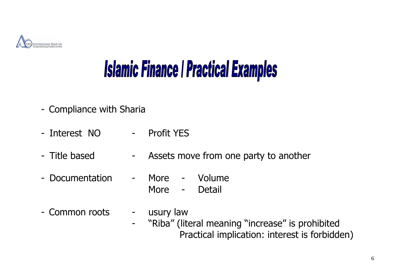

# **Islamic Finance | Practical Examples**

- 
- Compliance with Sharia<br>- Interest NO Profit YES - Interest NO -<br>- Title based -
- Assets move from one party to another<br>More Volume
- Documentation More - Detail
- Common roots usury law
- "Riba" (literal meaning "increase" is prohibited Practical implication: interest is forbidden)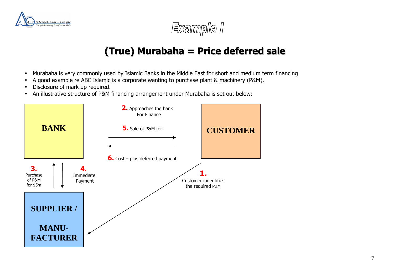



## **(True) Murabaha <sup>=</sup> Price deferred sale**

- •Murabaha is very commonly used by Islamic Banks in the Middle East for short and medium term financing
- •A good example re ABC Islamic is a corporate wanting to purchase plant & machinery (P&M).
- •Disclosure of mark up required.
- •An illustrative structure of P&M financing arrangement under Murabaha is set out below:

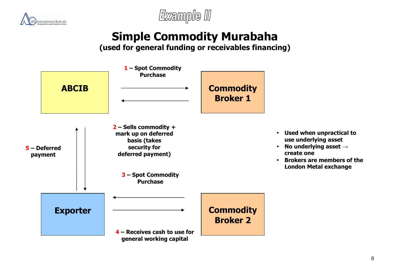



## **Simple Commodity Murabaha**

**(used for general funding or receivables financing)** 

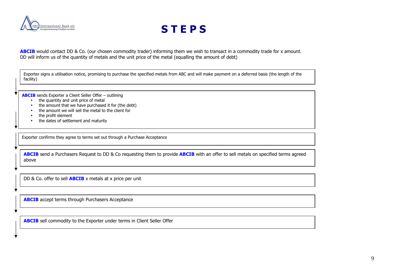

### **S T E P S**

ABCIB would contact DD & Co. (our chosen commodity trader) informing them we wish to transact in a commodity trade for x amount. DD will inform us of the quantity of metals and the unit price of the metal (equalling the amount of debt)

Exporter signs a utilisation notice, promising to purchase the specified metals from ABC and will make payment on a deferred basis (the length of the facility)

**ABCIB** sends Exporter a Client Seller Offer – outlining

- •the quantity and unit price of metal
- the amount that we have purchased it for (the debt)
- the amount we will sell the metal to the client for
- the profit element
- •the dates of settlement and maturity

Exporter confirms they agree to terms set out through a Purchase Acceptance

**ABCIB** send a Purchasers Request to DD & Co requesting them to provide **ABCIB** with an offer to sell metals on specified terms agreed above

DD & Co. offer to sell **ABCIB** x metals at x price per unit

**ABCIB** accept terms through Purchasers Acceptance

**ABCIB** sell commodity to the Exporter under terms in Client Seller Offer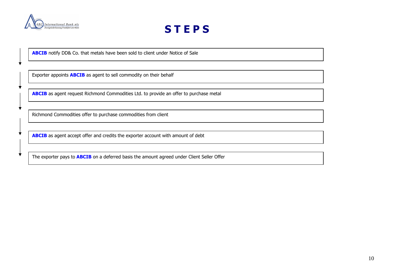

x

### **S T E P S**

**ABCIB** notify DD& Co. that metals have been sold to client under Notice of Sale

Exporter appoints **ABCIB** as agent to sell commodity on their behalf

**ABCIB** as agent request Richmond Commodities Ltd. to provide an offer to purchase metal

Richmond Commodities offer to purchase commodities from client

**ABCIB** as agent accept offer and credits the exporter account with amount of debt

The exporter pays to **ABCIB** on a deferred basis the amount agreed under Client Seller Offer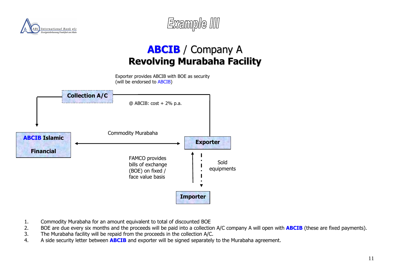



## **ABCIB** / Company <sup>A</sup> **Revolving Murabaha Facility**



- 1.Commodity Murabaha for an amount equivalent to total of discounted BOE
- BOE are due every six months and the proceeds will be paid into a collection A/C company A will open with **ABCIB** (these are fixed payments). 2.
- 3.The Murabaha facility will be repaid from the proceeds in the collection A/C.
- A side security letter between **ABCIB** and exporter will be signed separately to the Murabaha agreement. 4.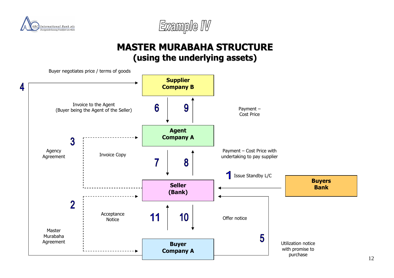



### **MASTER MURABAHA STRUCTURE (using the underlying assets)**

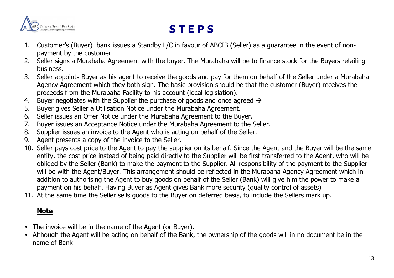

### **S T E P S**

- 1. Customer's (Buyer) bank issues a Standby L/C in favour of ABCIB (Seller) as a guarantee in the event of nonpayment by the customer
- 2. Seller signs a Murabaha Agreement with the buyer. The Murabaha will be to finance stock for the Buyers retailing business.
- 3. Seller appoints Buyer as his agent to receive the goods and pay for them on behalf of the Seller under a Murabaha Agency Agreement which they both sign. The basic provision should be that the customer (Buyer) receives the proceeds from the Murabaha Facility to his account (local legislation).
- . Buyer negotiates with the Supplier the purchase of goods and once agreed  $\rightarrow$ 4.
- 5. Buyer gives Seller a Utilisation Notice under the Murabaha Agreement.
- 6. Seller issues an Offer Notice under the Murabaha Agreement to the Buyer.
- Buyer issues an Acceptance Notice under the Murabaha Agreement to the Seller. 7.
- 8. Supplier issues an invoice to the Agent who is acting on behalf of the Seller.
- 9. Agent presents a copy of the invoice to the Seller.
- 10. Seller pays cost price to the Agent to pay the supplier on its behalf. Since the Agent and the Buyer will be the same entity, the cost price instead of being paid directly to the Supplier will be first transferred to the Agent, who will be obliged by the Seller (Bank) to make the payment to the Supplier. All responsibility of the payment to the Supplier will be with the Agent/Buyer. This arrangement should be reflected in the Murabaha Agency Agreement which in addition to authorising the Agent to buy goods on behalf of the Seller (Bank) will give him the power to make a payment on his behalf. Having Buyer as Agent gives Bank more security (quality control of assets)
- 11. At the same time the Seller sells goods to the Buyer on deferred basis, to include the Sellers mark up.

#### **Note**

- The invoice will be in the name of the Agent (or Buyer).
- Although the Agent will be acting on behalf of the Bank, the ownership of the goods will in no document be in the name of Bank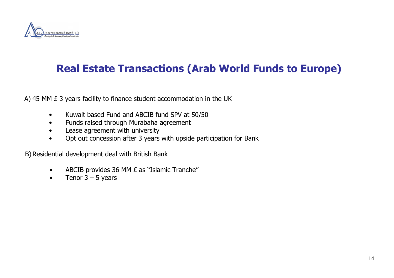

### **Real Estate Transactions (Arab World Funds to Europe)**

A) 45 MM £ 3 years facility to finance student accommodation in the UK

- Kuwait based Fund and ABCIB fund SPV at 50/50
- Funds raised through Murabaha agreement
- Lease agreement with university
- Opt out concession after 3 years with upside participation for Bank

B) Residential development deal with British Bank

- ABCIB provides 36 MM £ as "Islamic Tranche"
- Tenor  $3 5$  years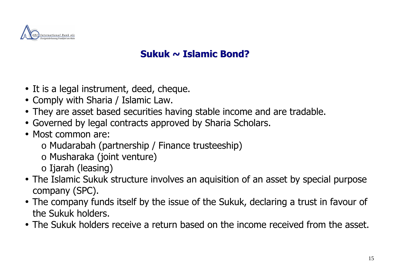

## **Sukuk <sup>~</sup> Islamic Bond?**

- It is a legal instrument, deed, cheque.
- Comply with Sharia / Islamic Law.
- They are asset based securities having stable income and are tradable.
- Governed by legal contracts approved by Sharia Scholars.
- Most common are:
	- o Mudarabah (partnership / Finance trusteeship)
	- o Musharaka (joint venture)
	- o Ijarah (leasing)
- The Islamic Sukuk structure involves an aquisition of an asset by special purpose company (SPC).
- The company funds itself by the issue of the Sukuk, declaring a trust in favour of the Sukuk holders.
- The Sukuk holders receive a return based on the income received from the asset.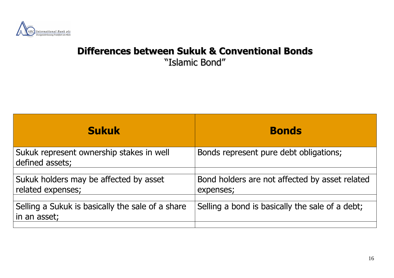

## **Differences between Sukuk & Conventional Bonds**

"Islamic Bond"

| <b>Sukuk</b>                                                     | <b>Bonds</b>                                                |
|------------------------------------------------------------------|-------------------------------------------------------------|
| Sukuk represent ownership stakes in well<br>defined assets;      | Bonds represent pure debt obligations;                      |
| Sukuk holders may be affected by asset<br>related expenses;      | Bond holders are not affected by asset related<br>expenses; |
| Selling a Sukuk is basically the sale of a share<br>in an asset; | Selling a bond is basically the sale of a debt;             |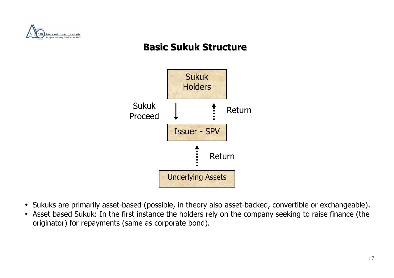

## **Basic Sukuk Structure**



- Sukuks are primarily asset-based (possible, in theory also asset-backed, convertible or exchangeable).
- Asset based Sukuk: In the first instance the holders rely on the company seeking to raise finance (theoriginator) for repayments (same as corporate bond).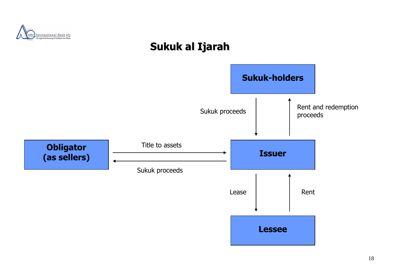

## **Sukuk al Ijarah**

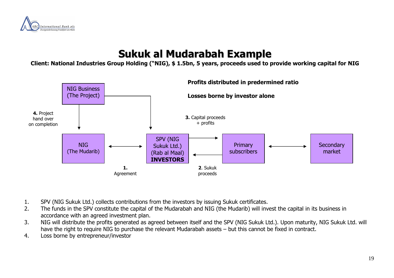

## **Sukuk al Mudarabah Example**

**Client: National Industries Group Holding ("NIG), \$ 1.5bn, 5 years, proceeds used to provide working capital for NIG**



- 1.SPV (NIG Sukuk Ltd.) collects contributions from the investors by issuing Sukuk certificates.
- The funds in the SPV constitute the capital of the Mudarabah and NIG (the Mudarib) will invest the capital in its business in 2.accordance with an agreed investment plan.
- NIG will distribute the profits generated as agreed between itself and the SPV (NIG Sukuk Ltd.). Upon maturity, NIG Sukuk Ltd. will 3.have the right to require NIG to purchase the relevant Mudarabah assets – but this cannot be fixed in contract.
- 4.Loss borne by entrepreneur/investor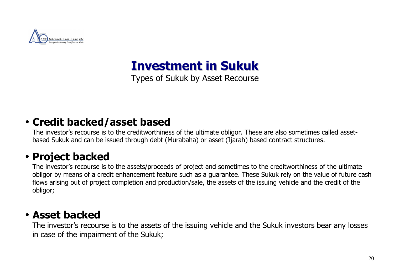

**Investment in Sukuk**

Types of Sukuk by Asset Recourse

## • **Credit backed/asset based**

The investor's recourse is to the creditworthiness of the ultimate obligor. These are also sometimes called assetbased Sukuk and can be issued through debt (Murabaha) or asset (Ijarah) based contract structures.

## • **Project backed**

The investor's recourse is to the assets/proceeds of project and sometimes to the creditworthiness of the ultimate obligor by means of a credit enhancement feature such as a guarantee. These Sukuk rely on the value of future cash flows arising out of project completion and production/sale, the assets of the issuing vehicle and the credit of the obligor;

## • **Asset backed**

The investor's recourse is to the assets of the issuing vehicle and the Sukuk investors bear any losses in case of the impairment of the Sukuk;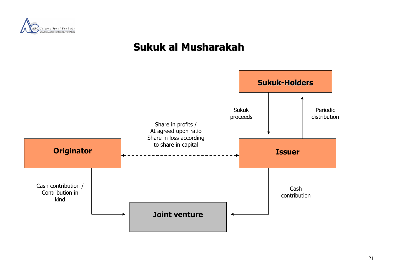

## **Sukuk al Musharakah**